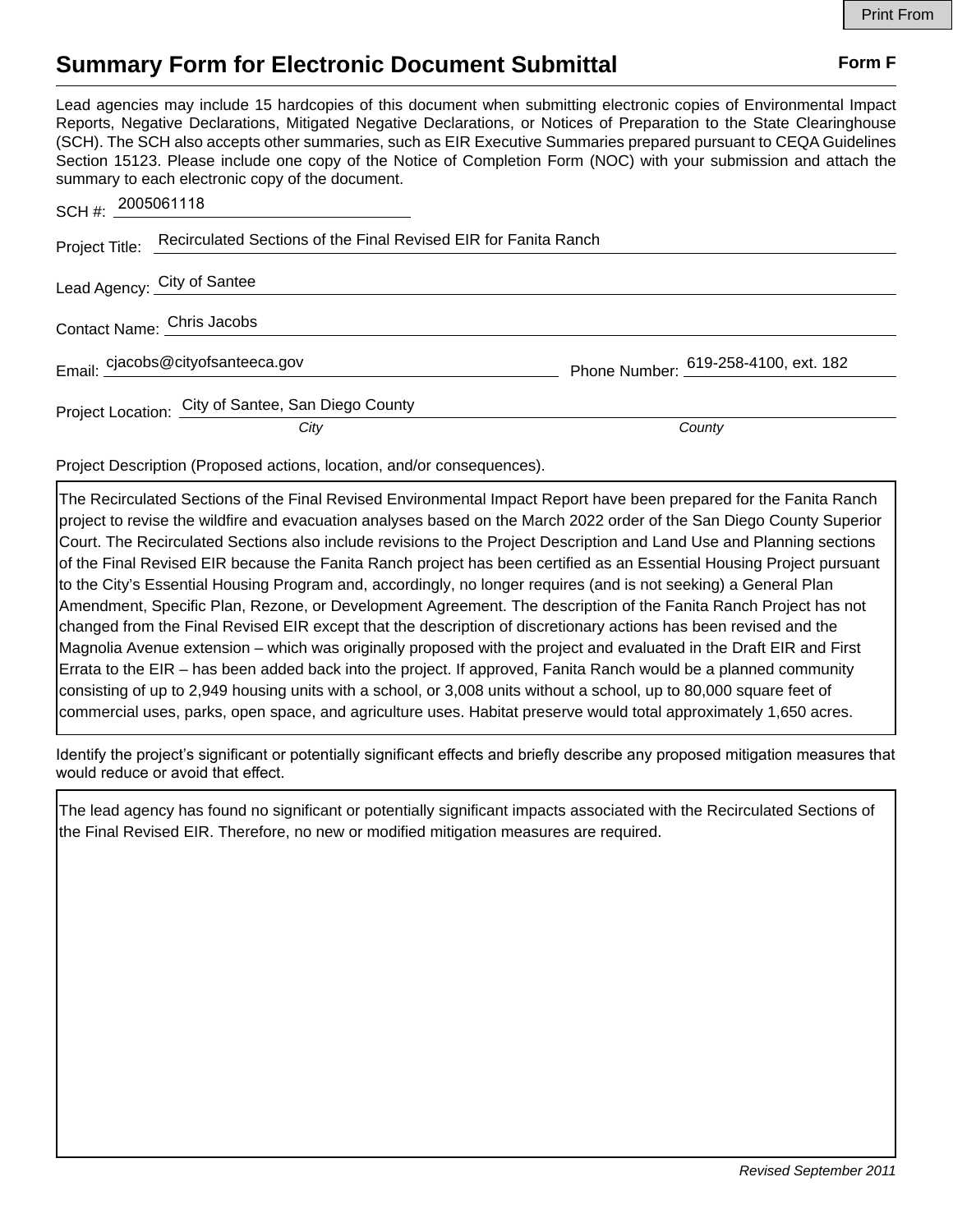## **Summary Form for Electronic Document Submittal Form F Form F**

Lead agencies may include 15 hardcopies of this document when submitting electronic copies of Environmental Impact Reports, Negative Declarations, Mitigated Negative Declarations, or Notices of Preparation to the State Clearinghouse (SCH). The SCH also accepts other summaries, such as EIR Executive Summaries prepared pursuant to CEQA Guidelines Section 15123. Please include one copy of the Notice of Completion Form (NOC) with your submission and attach the summary to each electronic copy of the document.

| SCH#: 2005061118                                                               |                                      |
|--------------------------------------------------------------------------------|--------------------------------------|
| Project Title: Recirculated Sections of the Final Revised EIR for Fanita Ranch |                                      |
| Lead Agency: City of Santee                                                    |                                      |
| Contact Name: Chris Jacobs                                                     |                                      |
| Email: cjacobs@cityofsanteeca.gov                                              | Phone Number: 619-258-4100, ext. 182 |
| Project Location: City of Santee, San Diego County<br>City                     | County                               |

Project Description (Proposed actions, location, and/or consequences).

The Recirculated Sections of the Final Revised Environmental Impact Report have been prepared for the Fanita Ranch project to revise the wildfire and evacuation analyses based on the March 2022 order of the San Diego County Superior Court. The Recirculated Sections also include revisions to the Project Description and Land Use and Planning sections of the Final Revised EIR because the Fanita Ranch project has been certified as an Essential Housing Project pursuant to the City's Essential Housing Program and, accordingly, no longer requires (and is not seeking) a General Plan Amendment, Specific Plan, Rezone, or Development Agreement. The description of the Fanita Ranch Project has not changed from the Final Revised EIR except that the description of discretionary actions has been revised and the Magnolia Avenue extension – which was originally proposed with the project and evaluated in the Draft EIR and First Errata to the EIR – has been added back into the project. If approved, Fanita Ranch would be a planned community consisting of up to 2,949 housing units with a school, or 3,008 units without a school, up to 80,000 square feet of commercial uses, parks, open space, and agriculture uses. Habitat preserve would total approximately 1,650 acres.

Identify the project's significant or potentially significant effects and briefly describe any proposed mitigation measures that would reduce or avoid that effect.

The lead agency has found no significant or potentially significant impacts associated with the Recirculated Sections of the Final Revised EIR. Therefore, no new or modified mitigation measures are required.